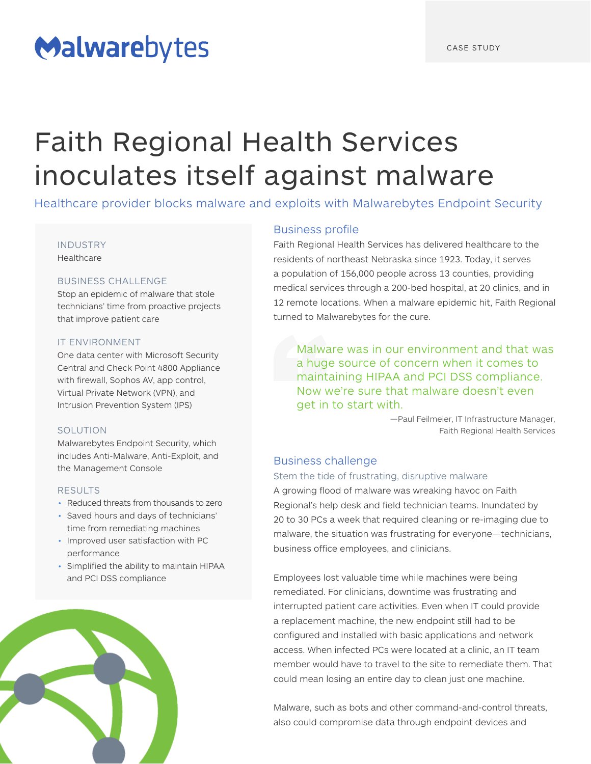# Malwarebytes

# Faith Regional Health Services inoculates itself against malware

Healthcare provider blocks malware and exploits with Malwarebytes Endpoint Security

#### INDUSTRY

Healthcare

## BUSINESS CHALLENGE

Stop an epidemic of malware that stole technicians' time from proactive projects that improve patient care

### IT ENVIRONMENT

One data center with Microsoft Security Central and Check Point 4800 Appliance with firewall, Sophos AV, app control, Virtual Private Network (VPN), and Intrusion Prevention System (IPS)

## **SOLUTION**

Malwarebytes Endpoint Security, which includes Anti-Malware, Anti-Exploit, and the Management Console

#### RESULTS

- Reduced threats from thousands to zero
- Saved hours and days of technicians' time from remediating machines
- Improved user satisfaction with PC performance
- Simplified the ability to maintain HIPAA and PCI DSS compliance



## Business profile

Faith Regional Health Services has delivered healthcare to the residents of northeast Nebraska since 1923. Today, it serves a population of 156,000 people across 13 counties, providing medical services through a 200-bed hospital, at 20 clinics, and in 12 remote locations. When a malware epidemic hit, Faith Regional turned to Malwarebytes for the cure.

Malware was in our environment and that was a huge source of concern when it comes to maintaining HIPAA and PCI DSS compliance. Now we're sure that malware doesn't even get in to start with.

> —Paul Feilmeier, IT Infrastructure Manager, Faith Regional Health Services

## Business challenge

Stem the tide of frustrating, disruptive malware A growing flood of malware was wreaking havoc on Faith Regional's help desk and field technician teams. Inundated by 20 to 30 PCs a week that required cleaning or re-imaging due to malware, the situation was frustrating for everyone—technicians, business office employees, and clinicians.

Employees lost valuable time while machines were being remediated. For clinicians, downtime was frustrating and interrupted patient care activities. Even when IT could provide a replacement machine, the new endpoint still had to be configured and installed with basic applications and network access. When infected PCs were located at a clinic, an IT team member would have to travel to the site to remediate them. That could mean losing an entire day to clean just one machine.

Malware, such as bots and other command-and-control threats, also could compromise data through endpoint devices and